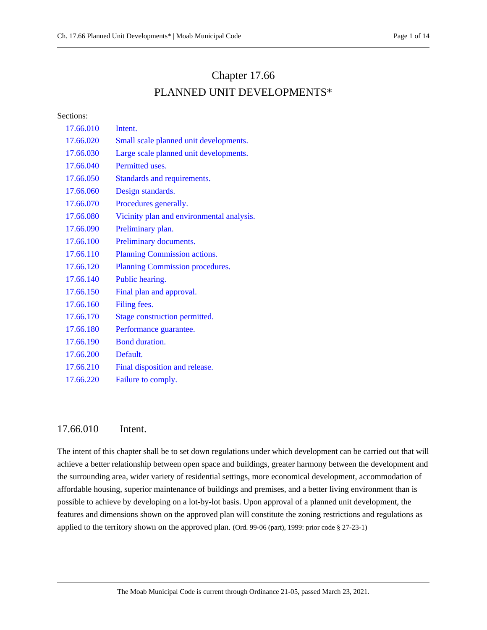# Chapter 17.66 PLANNED UNIT DEVELOPMENTS\*

Sections:

| 17.66.010 | Intent.                                   |
|-----------|-------------------------------------------|
| 17.66.020 | Small scale planned unit developments.    |
| 17.66.030 | Large scale planned unit developments.    |
| 17.66.040 | Permitted uses.                           |
| 17.66.050 | Standards and requirements.               |
| 17.66.060 | Design standards.                         |
| 17.66.070 | Procedures generally.                     |
| 17.66.080 | Vicinity plan and environmental analysis. |
| 17.66.090 | Preliminary plan.                         |
| 17.66.100 | Preliminary documents.                    |
| 17.66.110 | Planning Commission actions.              |
| 17.66.120 | Planning Commission procedures.           |
| 17.66.140 | Public hearing.                           |
| 17.66.150 | Final plan and approval.                  |
| 17.66.160 | Filing fees.                              |
| 17.66.170 | Stage construction permitted.             |
| 17.66.180 | Performance guarantee.                    |
| 17.66.190 | <b>Bond duration.</b>                     |
| 17.66.200 | Default.                                  |
| 17.66.210 | Final disposition and release.            |
| 17.66.220 | Failure to comply.                        |

## <span id="page-0-0"></span>17.66.010 Intent.

The intent of this chapter shall be to set down regulations under which development can be carried out that will achieve a better relationship between open space and buildings, greater harmony between the development and the surrounding area, wider variety of residential settings, more economical development, accommodation of affordable housing, superior maintenance of buildings and premises, and a better living environment than is possible to achieve by developing on a lot-by-lot basis. Upon approval of a planned unit development, the features and dimensions shown on the approved plan will constitute the zoning restrictions and regulations as applied to the territory shown on the approved plan. (Ord. 99-06 (part), 1999: prior code § 27-23-1)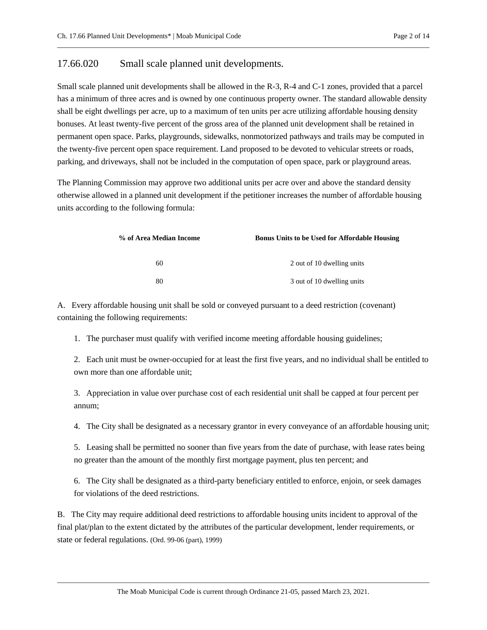## <span id="page-1-0"></span>17.66.020 Small scale planned unit developments.

Small scale planned unit developments shall be allowed in the R-3, R-4 and C-1 zones, provided that a parcel has a minimum of three acres and is owned by one continuous property owner. The standard allowable density shall be eight dwellings per acre, up to a maximum of ten units per acre utilizing affordable housing density bonuses. At least twenty-five percent of the gross area of the planned unit development shall be retained in permanent open space. Parks, playgrounds, sidewalks, nonmotorized pathways and trails may be computed in the twenty-five percent open space requirement. Land proposed to be devoted to vehicular streets or roads, parking, and driveways, shall not be included in the computation of open space, park or playground areas.

The Planning Commission may approve two additional units per acre over and above the standard density otherwise allowed in a planned unit development if the petitioner increases the number of affordable housing units according to the following formula:

| % of Area Median Income | <b>Bonus Units to be Used for Affordable Housing</b> |
|-------------------------|------------------------------------------------------|
| 60                      | 2 out of 10 dwelling units                           |
| 80                      | 3 out of 10 dwelling units                           |

A. Every affordable housing unit shall be sold or conveyed pursuant to a deed restriction (covenant) containing the following requirements:

1. The purchaser must qualify with verified income meeting affordable housing guidelines;

2. Each unit must be owner-occupied for at least the first five years, and no individual shall be entitled to own more than one affordable unit;

3. Appreciation in value over purchase cost of each residential unit shall be capped at four percent per annum;

4. The City shall be designated as a necessary grantor in every conveyance of an affordable housing unit;

5. Leasing shall be permitted no sooner than five years from the date of purchase, with lease rates being no greater than the amount of the monthly first mortgage payment, plus ten percent; and

6. The City shall be designated as a third-party beneficiary entitled to enforce, enjoin, or seek damages for violations of the deed restrictions.

B. The City may require additional deed restrictions to affordable housing units incident to approval of the final plat/plan to the extent dictated by the attributes of the particular development, lender requirements, or state or federal regulations. (Ord. 99-06 (part), 1999)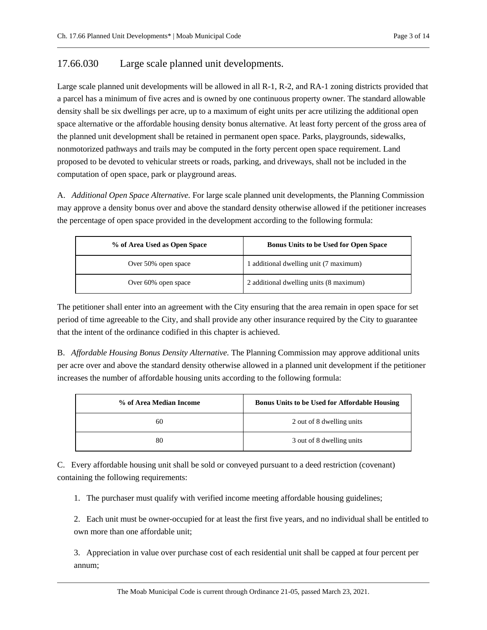## <span id="page-2-0"></span>17.66.030 Large scale planned unit developments.

Large scale planned unit developments will be allowed in all R-1, R-2, and RA-1 zoning districts provided that a parcel has a minimum of five acres and is owned by one continuous property owner. The standard allowable density shall be six dwellings per acre, up to a maximum of eight units per acre utilizing the additional open space alternative or the affordable housing density bonus alternative. At least forty percent of the gross area of the planned unit development shall be retained in permanent open space. Parks, playgrounds, sidewalks, nonmotorized pathways and trails may be computed in the forty percent open space requirement. Land proposed to be devoted to vehicular streets or roads, parking, and driveways, shall not be included in the computation of open space, park or playground areas.

A. *Additional Open Space Alternative.* For large scale planned unit developments, the Planning Commission may approve a density bonus over and above the standard density otherwise allowed if the petitioner increases the percentage of open space provided in the development according to the following formula:

| % of Area Used as Open Space | <b>Bonus Units to be Used for Open Space</b> |
|------------------------------|----------------------------------------------|
| Over 50% open space          | 1 additional dwelling unit (7 maximum)       |
| Over 60% open space          | 2 additional dwelling units (8 maximum)      |

The petitioner shall enter into an agreement with the City ensuring that the area remain in open space for set period of time agreeable to the City, and shall provide any other insurance required by the City to guarantee that the intent of the ordinance codified in this chapter is achieved.

B. *Affordable Housing Bonus Density Alternative.* The Planning Commission may approve additional units per acre over and above the standard density otherwise allowed in a planned unit development if the petitioner increases the number of affordable housing units according to the following formula:

| % of Area Median Income | <b>Bonus Units to be Used for Affordable Housing</b> |
|-------------------------|------------------------------------------------------|
| 60                      | 2 out of 8 dwelling units                            |
| 80                      | 3 out of 8 dwelling units                            |

C. Every affordable housing unit shall be sold or conveyed pursuant to a deed restriction (covenant) containing the following requirements:

1. The purchaser must qualify with verified income meeting affordable housing guidelines;

2. Each unit must be owner-occupied for at least the first five years, and no individual shall be entitled to own more than one affordable unit;

3. Appreciation in value over purchase cost of each residential unit shall be capped at four percent per annum;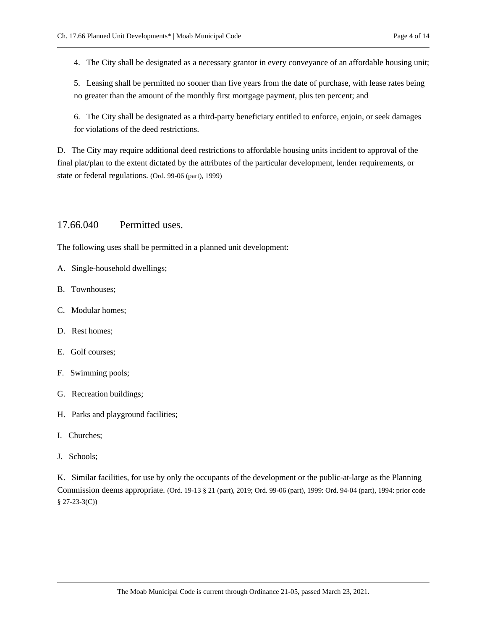4. The City shall be designated as a necessary grantor in every conveyance of an affordable housing unit;

5. Leasing shall be permitted no sooner than five years from the date of purchase, with lease rates being no greater than the amount of the monthly first mortgage payment, plus ten percent; and

6. The City shall be designated as a third-party beneficiary entitled to enforce, enjoin, or seek damages for violations of the deed restrictions.

D. The City may require additional deed restrictions to affordable housing units incident to approval of the final plat/plan to the extent dictated by the attributes of the particular development, lender requirements, or state or federal regulations. (Ord. 99-06 (part), 1999)

# <span id="page-3-0"></span>17.66.040 Permitted uses.

The following uses shall be permitted in a planned unit development:

- A. Single-household dwellings;
- B. Townhouses;
- C. Modular homes;
- D. Rest homes;
- E. Golf courses;
- F. Swimming pools;
- G. Recreation buildings;
- H. Parks and playground facilities;
- I. Churches;
- J. Schools;

K. Similar facilities, for use by only the occupants of the development or the public-at-large as the Planning Commission deems appropriate. (Ord. 19-13 § 21 (part), 2019; Ord. 99-06 (part), 1999: Ord. 94-04 (part), 1994: prior code § 27-23-3(C))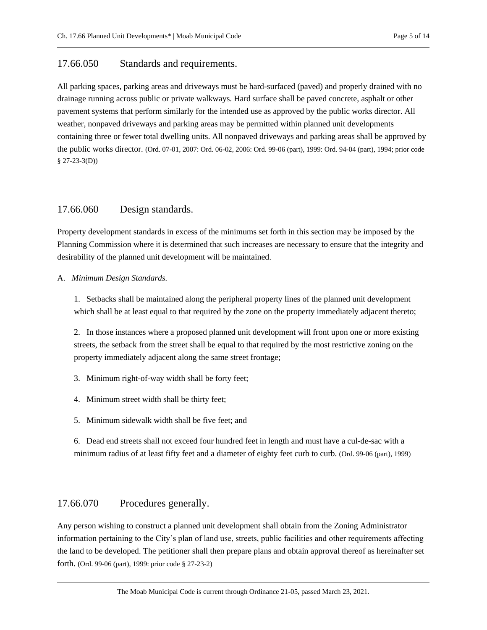## <span id="page-4-0"></span>17.66.050 Standards and requirements.

All parking spaces, parking areas and driveways must be hard-surfaced (paved) and properly drained with no drainage running across public or private walkways. Hard surface shall be paved concrete, asphalt or other pavement systems that perform similarly for the intended use as approved by the public works director. All weather, nonpaved driveways and parking areas may be permitted within planned unit developments containing three or fewer total dwelling units. All nonpaved driveways and parking areas shall be approved by the public works director. (Ord. 07-01, 2007: Ord. 06-02, 2006: Ord. 99-06 (part), 1999: Ord. 94-04 (part), 1994; prior code § 27-23-3(D))

## <span id="page-4-1"></span>17.66.060 Design standards.

Property development standards in excess of the minimums set forth in this section may be imposed by the Planning Commission where it is determined that such increases are necessary to ensure that the integrity and desirability of the planned unit development will be maintained.

#### A. *Minimum Design Standards.*

1. Setbacks shall be maintained along the peripheral property lines of the planned unit development which shall be at least equal to that required by the zone on the property immediately adjacent thereto;

2. In those instances where a proposed planned unit development will front upon one or more existing streets, the setback from the street shall be equal to that required by the most restrictive zoning on the property immediately adjacent along the same street frontage;

- 3. Minimum right-of-way width shall be forty feet;
- 4. Minimum street width shall be thirty feet;
- 5. Minimum sidewalk width shall be five feet; and

6. Dead end streets shall not exceed four hundred feet in length and must have a cul-de-sac with a minimum radius of at least fifty feet and a diameter of eighty feet curb to curb. (Ord. 99-06 (part), 1999)

# <span id="page-4-2"></span>17.66.070 Procedures generally.

Any person wishing to construct a planned unit development shall obtain from the Zoning Administrator information pertaining to the City's plan of land use, streets, public facilities and other requirements affecting the land to be developed. The petitioner shall then prepare plans and obtain approval thereof as hereinafter set forth. (Ord. 99-06 (part), 1999: prior code § 27-23-2)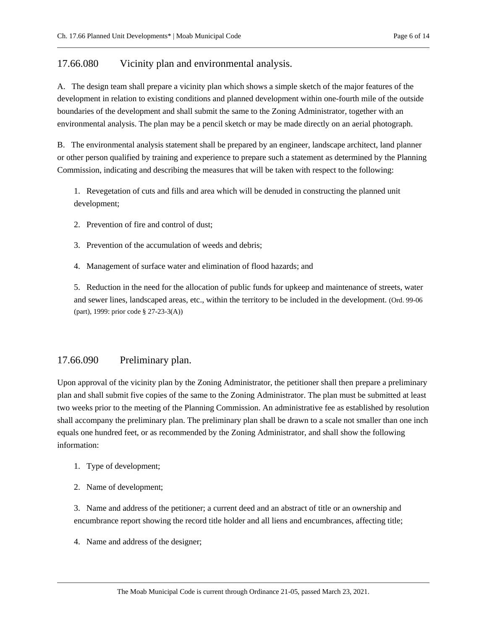# <span id="page-5-0"></span>17.66.080 Vicinity plan and environmental analysis.

A. The design team shall prepare a vicinity plan which shows a simple sketch of the major features of the development in relation to existing conditions and planned development within one-fourth mile of the outside boundaries of the development and shall submit the same to the Zoning Administrator, together with an environmental analysis. The plan may be a pencil sketch or may be made directly on an aerial photograph.

B. The environmental analysis statement shall be prepared by an engineer, landscape architect, land planner or other person qualified by training and experience to prepare such a statement as determined by the Planning Commission, indicating and describing the measures that will be taken with respect to the following:

1. Revegetation of cuts and fills and area which will be denuded in constructing the planned unit development;

- 2. Prevention of fire and control of dust;
- 3. Prevention of the accumulation of weeds and debris;
- 4. Management of surface water and elimination of flood hazards; and

5. Reduction in the need for the allocation of public funds for upkeep and maintenance of streets, water and sewer lines, landscaped areas, etc., within the territory to be included in the development. (Ord. 99-06 (part), 1999: prior code § 27-23-3(A))

## <span id="page-5-1"></span>17.66.090 Preliminary plan.

Upon approval of the vicinity plan by the Zoning Administrator, the petitioner shall then prepare a preliminary plan and shall submit five copies of the same to the Zoning Administrator. The plan must be submitted at least two weeks prior to the meeting of the Planning Commission. An administrative fee as established by resolution shall accompany the preliminary plan. The preliminary plan shall be drawn to a scale not smaller than one inch equals one hundred feet, or as recommended by the Zoning Administrator, and shall show the following information:

- 1. Type of development;
- 2. Name of development;

3. Name and address of the petitioner; a current deed and an abstract of title or an ownership and encumbrance report showing the record title holder and all liens and encumbrances, affecting title;

4. Name and address of the designer;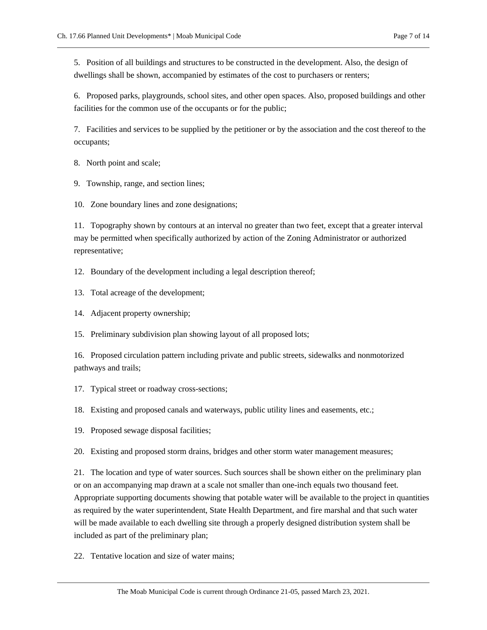5. Position of all buildings and structures to be constructed in the development. Also, the design of dwellings shall be shown, accompanied by estimates of the cost to purchasers or renters;

6. Proposed parks, playgrounds, school sites, and other open spaces. Also, proposed buildings and other facilities for the common use of the occupants or for the public;

7. Facilities and services to be supplied by the petitioner or by the association and the cost thereof to the occupants;

8. North point and scale;

9. Township, range, and section lines;

10. Zone boundary lines and zone designations;

11. Topography shown by contours at an interval no greater than two feet, except that a greater interval may be permitted when specifically authorized by action of the Zoning Administrator or authorized representative;

12. Boundary of the development including a legal description thereof;

13. Total acreage of the development;

14. Adjacent property ownership;

15. Preliminary subdivision plan showing layout of all proposed lots;

16. Proposed circulation pattern including private and public streets, sidewalks and nonmotorized pathways and trails;

17. Typical street or roadway cross-sections;

18. Existing and proposed canals and waterways, public utility lines and easements, etc.;

19. Proposed sewage disposal facilities;

20. Existing and proposed storm drains, bridges and other storm water management measures;

21. The location and type of water sources. Such sources shall be shown either on the preliminary plan or on an accompanying map drawn at a scale not smaller than one-inch equals two thousand feet. Appropriate supporting documents showing that potable water will be available to the project in quantities as required by the water superintendent, State Health Department, and fire marshal and that such water will be made available to each dwelling site through a properly designed distribution system shall be included as part of the preliminary plan;

22. Tentative location and size of water mains;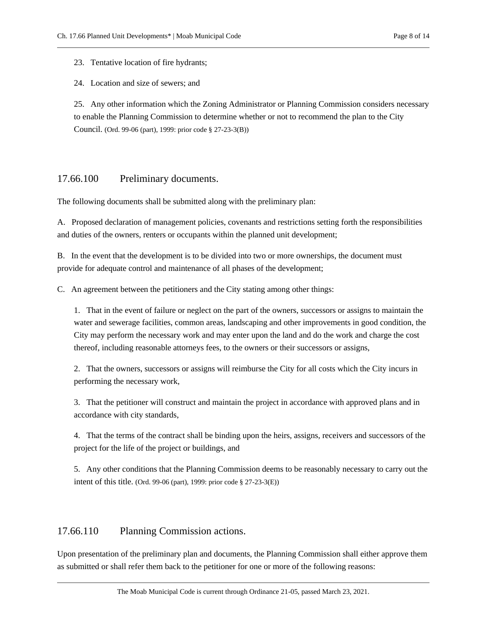23. Tentative location of fire hydrants;

24. Location and size of sewers; and

25. Any other information which the Zoning Administrator or Planning Commission considers necessary to enable the Planning Commission to determine whether or not to recommend the plan to the City Council. (Ord. 99-06 (part), 1999: prior code § 27-23-3(B))

## <span id="page-7-0"></span>17.66.100 Preliminary documents.

The following documents shall be submitted along with the preliminary plan:

A. Proposed declaration of management policies, covenants and restrictions setting forth the responsibilities and duties of the owners, renters or occupants within the planned unit development;

B. In the event that the development is to be divided into two or more ownerships, the document must provide for adequate control and maintenance of all phases of the development;

C. An agreement between the petitioners and the City stating among other things:

1. That in the event of failure or neglect on the part of the owners, successors or assigns to maintain the water and sewerage facilities, common areas, landscaping and other improvements in good condition, the City may perform the necessary work and may enter upon the land and do the work and charge the cost thereof, including reasonable attorneys fees, to the owners or their successors or assigns,

2. That the owners, successors or assigns will reimburse the City for all costs which the City incurs in performing the necessary work,

3. That the petitioner will construct and maintain the project in accordance with approved plans and in accordance with city standards,

4. That the terms of the contract shall be binding upon the heirs, assigns, receivers and successors of the project for the life of the project or buildings, and

5. Any other conditions that the Planning Commission deems to be reasonably necessary to carry out the intent of this title. (Ord. 99-06 (part), 1999: prior code § 27-23-3(E))

## <span id="page-7-1"></span>17.66.110 Planning Commission actions.

Upon presentation of the preliminary plan and documents, the Planning Commission shall either approve them as submitted or shall refer them back to the petitioner for one or more of the following reasons: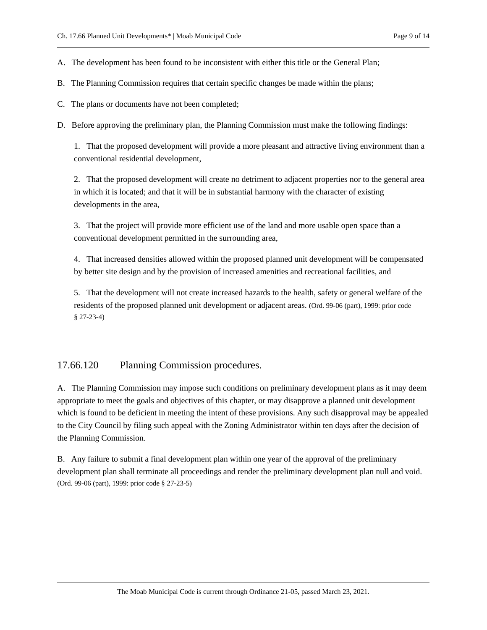A. The development has been found to be inconsistent with either this title or the General Plan;

- B. The Planning Commission requires that certain specific changes be made within the plans;
- C. The plans or documents have not been completed;
- D. Before approving the preliminary plan, the Planning Commission must make the following findings:

1. That the proposed development will provide a more pleasant and attractive living environment than a conventional residential development,

2. That the proposed development will create no detriment to adjacent properties nor to the general area in which it is located; and that it will be in substantial harmony with the character of existing developments in the area,

3. That the project will provide more efficient use of the land and more usable open space than a conventional development permitted in the surrounding area,

4. That increased densities allowed within the proposed planned unit development will be compensated by better site design and by the provision of increased amenities and recreational facilities, and

5. That the development will not create increased hazards to the health, safety or general welfare of the residents of the proposed planned unit development or adjacent areas. (Ord. 99-06 (part), 1999: prior code § 27-23-4)

#### <span id="page-8-0"></span>17.66.120 Planning Commission procedures.

A. The Planning Commission may impose such conditions on preliminary development plans as it may deem appropriate to meet the goals and objectives of this chapter, or may disapprove a planned unit development which is found to be deficient in meeting the intent of these provisions. Any such disapproval may be appealed to the City Council by filing such appeal with the Zoning Administrator within ten days after the decision of the Planning Commission.

B. Any failure to submit a final development plan within one year of the approval of the preliminary development plan shall terminate all proceedings and render the preliminary development plan null and void. (Ord. 99-06 (part), 1999: prior code § 27-23-5)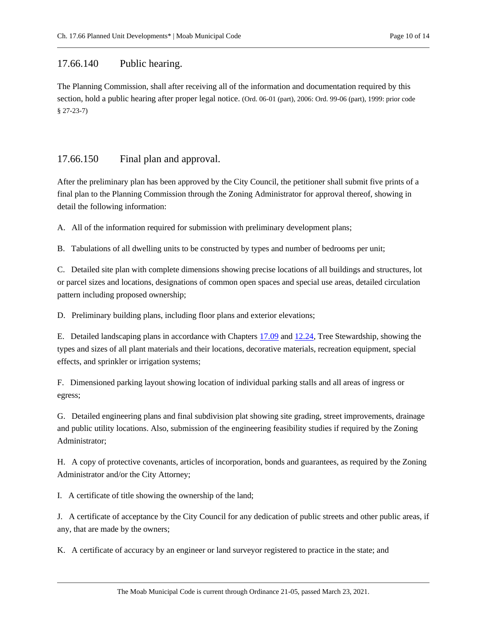## <span id="page-9-0"></span>17.66.140 Public hearing.

The Planning Commission, shall after receiving all of the information and documentation required by this section, hold a public hearing after proper legal notice. (Ord. 06-01 (part), 2006: Ord. 99-06 (part), 1999: prior code § 27-23-7)

# <span id="page-9-1"></span>17.66.150 Final plan and approval.

After the preliminary plan has been approved by the City Council, the petitioner shall submit five prints of a final plan to the Planning Commission through the Zoning Administrator for approval thereof, showing in detail the following information:

A. All of the information required for submission with preliminary development plans;

B. Tabulations of all dwelling units to be constructed by types and number of bedrooms per unit;

C. Detailed site plan with complete dimensions showing precise locations of all buildings and structures, lot or parcel sizes and locations, designations of common open spaces and special use areas, detailed circulation pattern including proposed ownership;

D. Preliminary building plans, including floor plans and exterior elevations;

E. Detailed landscaping plans in accordance with Chapters [17.09](https://moab.municipal.codes/Code/17.09) an[d 12.24,](https://moab.municipal.codes/Code/12.24) Tree Stewardship, showing the types and sizes of all plant materials and their locations, decorative materials, recreation equipment, special effects, and sprinkler or irrigation systems;

F. Dimensioned parking layout showing location of individual parking stalls and all areas of ingress or egress;

G. Detailed engineering plans and final subdivision plat showing site grading, street improvements, drainage and public utility locations. Also, submission of the engineering feasibility studies if required by the Zoning Administrator;

H. A copy of protective covenants, articles of incorporation, bonds and guarantees, as required by the Zoning Administrator and/or the City Attorney;

I. A certificate of title showing the ownership of the land;

J. A certificate of acceptance by the City Council for any dedication of public streets and other public areas, if any, that are made by the owners;

K. A certificate of accuracy by an engineer or land surveyor registered to practice in the state; and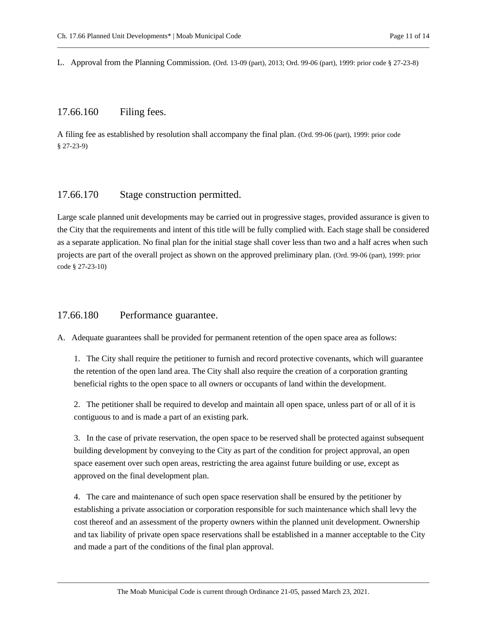<span id="page-10-0"></span>L. Approval from the Planning Commission. (Ord. 13-09 (part), 2013; Ord. 99-06 (part), 1999: prior code § 27-23-8)

#### 17.66.160 Filing fees.

A filing fee as established by resolution shall accompany the final plan. (Ord. 99-06 (part), 1999: prior code § 27-23-9)

## <span id="page-10-1"></span>17.66.170 Stage construction permitted.

Large scale planned unit developments may be carried out in progressive stages, provided assurance is given to the City that the requirements and intent of this title will be fully complied with. Each stage shall be considered as a separate application. No final plan for the initial stage shall cover less than two and a half acres when such projects are part of the overall project as shown on the approved preliminary plan. (Ord. 99-06 (part), 1999: prior code § 27-23-10)

## <span id="page-10-2"></span>17.66.180 Performance guarantee.

A. Adequate guarantees shall be provided for permanent retention of the open space area as follows:

1. The City shall require the petitioner to furnish and record protective covenants, which will guarantee the retention of the open land area. The City shall also require the creation of a corporation granting beneficial rights to the open space to all owners or occupants of land within the development.

2. The petitioner shall be required to develop and maintain all open space, unless part of or all of it is contiguous to and is made a part of an existing park.

3. In the case of private reservation, the open space to be reserved shall be protected against subsequent building development by conveying to the City as part of the condition for project approval, an open space easement over such open areas, restricting the area against future building or use, except as approved on the final development plan.

4. The care and maintenance of such open space reservation shall be ensured by the petitioner by establishing a private association or corporation responsible for such maintenance which shall levy the cost thereof and an assessment of the property owners within the planned unit development. Ownership and tax liability of private open space reservations shall be established in a manner acceptable to the City and made a part of the conditions of the final plan approval.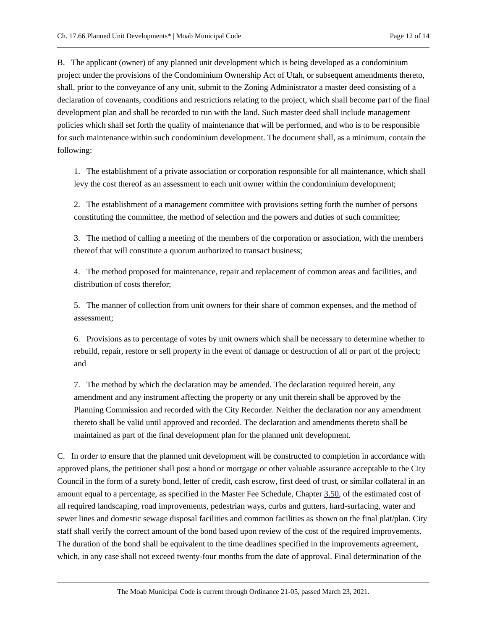B. The applicant (owner) of any planned unit development which is being developed as a condominium project under the provisions of the Condominium Ownership Act of Utah, or subsequent amendments thereto, shall, prior to the conveyance of any unit, submit to the Zoning Administrator a master deed consisting of a declaration of covenants, conditions and restrictions relating to the project, which shall become part of the final development plan and shall be recorded to run with the land. Such master deed shall include management policies which shall set forth the quality of maintenance that will be performed, and who is to be responsible for such maintenance within such condominium development. The document shall, as a minimum, contain the following:

1. The establishment of a private association or corporation responsible for all maintenance, which shall levy the cost thereof as an assessment to each unit owner within the condominium development;

2. The establishment of a management committee with provisions setting forth the number of persons constituting the committee, the method of selection and the powers and duties of such committee;

3. The method of calling a meeting of the members of the corporation or association, with the members thereof that will constitute a quorum authorized to transact business;

4. The method proposed for maintenance, repair and replacement of common areas and facilities, and distribution of costs therefor;

5. The manner of collection from unit owners for their share of common expenses, and the method of assessment;

6. Provisions as to percentage of votes by unit owners which shall be necessary to determine whether to rebuild, repair, restore or sell property in the event of damage or destruction of all or part of the project; and

7. The method by which the declaration may be amended. The declaration required herein, any amendment and any instrument affecting the property or any unit therein shall be approved by the Planning Commission and recorded with the City Recorder. Neither the declaration nor any amendment thereto shall be valid until approved and recorded. The declaration and amendments thereto shall be maintained as part of the final development plan for the planned unit development.

C. In order to ensure that the planned unit development will be constructed to completion in accordance with approved plans, the petitioner shall post a bond or mortgage or other valuable assurance acceptable to the City Council in the form of a surety bond, letter of credit, cash escrow, first deed of trust, or similar collateral in an amount equal to a percentage, as specified in the Master Fee Schedule, Chapte[r 3.50,](https://moab.municipal.codes/Code/3.50) of the estimated cost of all required landscaping, road improvements, pedestrian ways, curbs and gutters, hard-surfacing, water and sewer lines and domestic sewage disposal facilities and common facilities as shown on the final plat/plan. City staff shall verify the correct amount of the bond based upon review of the cost of the required improvements. The duration of the bond shall be equivalent to the time deadlines specified in the improvements agreement, which, in any case shall not exceed twenty-four months from the date of approval. Final determination of the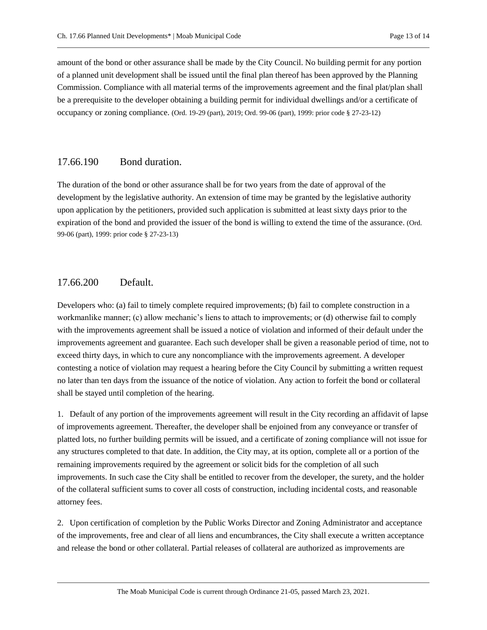amount of the bond or other assurance shall be made by the City Council. No building permit for any portion of a planned unit development shall be issued until the final plan thereof has been approved by the Planning Commission. Compliance with all material terms of the improvements agreement and the final plat/plan shall be a prerequisite to the developer obtaining a building permit for individual dwellings and/or a certificate of occupancy or zoning compliance. (Ord. 19-29 (part), 2019; Ord. 99-06 (part), 1999: prior code § 27-23-12)

## <span id="page-12-0"></span>17.66.190 Bond duration.

The duration of the bond or other assurance shall be for two years from the date of approval of the development by the legislative authority. An extension of time may be granted by the legislative authority upon application by the petitioners, provided such application is submitted at least sixty days prior to the expiration of the bond and provided the issuer of the bond is willing to extend the time of the assurance. (Ord. 99-06 (part), 1999: prior code § 27-23-13)

## <span id="page-12-1"></span>17.66.200 Default.

Developers who: (a) fail to timely complete required improvements; (b) fail to complete construction in a workmanlike manner; (c) allow mechanic's liens to attach to improvements; or (d) otherwise fail to comply with the improvements agreement shall be issued a notice of violation and informed of their default under the improvements agreement and guarantee. Each such developer shall be given a reasonable period of time, not to exceed thirty days, in which to cure any noncompliance with the improvements agreement. A developer contesting a notice of violation may request a hearing before the City Council by submitting a written request no later than ten days from the issuance of the notice of violation. Any action to forfeit the bond or collateral shall be stayed until completion of the hearing.

1. Default of any portion of the improvements agreement will result in the City recording an affidavit of lapse of improvements agreement. Thereafter, the developer shall be enjoined from any conveyance or transfer of platted lots, no further building permits will be issued, and a certificate of zoning compliance will not issue for any structures completed to that date. In addition, the City may, at its option, complete all or a portion of the remaining improvements required by the agreement or solicit bids for the completion of all such improvements. In such case the City shall be entitled to recover from the developer, the surety, and the holder of the collateral sufficient sums to cover all costs of construction, including incidental costs, and reasonable attorney fees.

2. Upon certification of completion by the Public Works Director and Zoning Administrator and acceptance of the improvements, free and clear of all liens and encumbrances, the City shall execute a written acceptance and release the bond or other collateral. Partial releases of collateral are authorized as improvements are